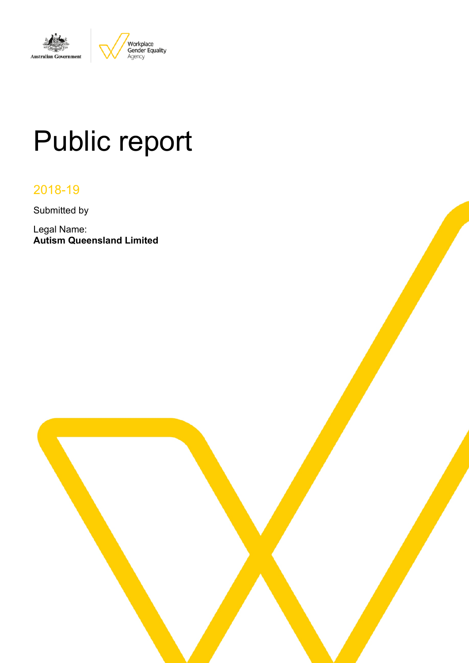

# Public report

# 2018-19

Submitted by

Legal Name: **Autism Queensland Limited**

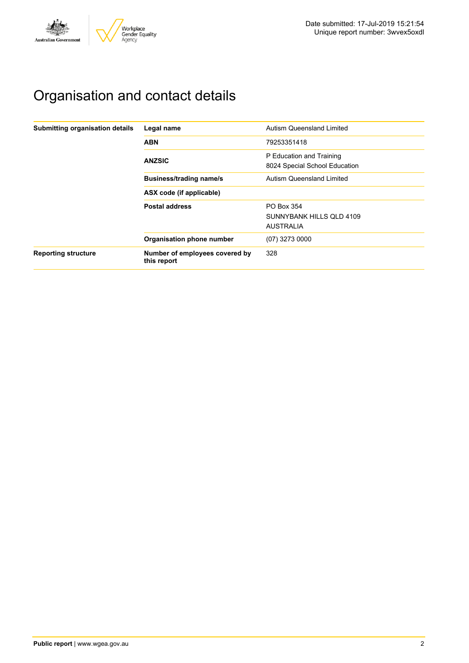

# Organisation and contact details

| Submitting organisation details | Legal name                                    | Autism Queensland Limited                                 |  |  |
|---------------------------------|-----------------------------------------------|-----------------------------------------------------------|--|--|
|                                 | <b>ABN</b>                                    | 79253351418                                               |  |  |
|                                 | <b>ANZSIC</b>                                 | P Education and Training<br>8024 Special School Education |  |  |
|                                 | <b>Business/trading name/s</b>                | <b>Autism Queensland Limited</b>                          |  |  |
|                                 | ASX code (if applicable)                      |                                                           |  |  |
|                                 | <b>Postal address</b>                         | PO Box 354                                                |  |  |
|                                 |                                               | SUNNYBANK HILLS OLD 4109                                  |  |  |
|                                 |                                               | <b>AUSTRALIA</b>                                          |  |  |
|                                 | Organisation phone number                     | (07) 3273 0000                                            |  |  |
| <b>Reporting structure</b>      | Number of employees covered by<br>this report | 328                                                       |  |  |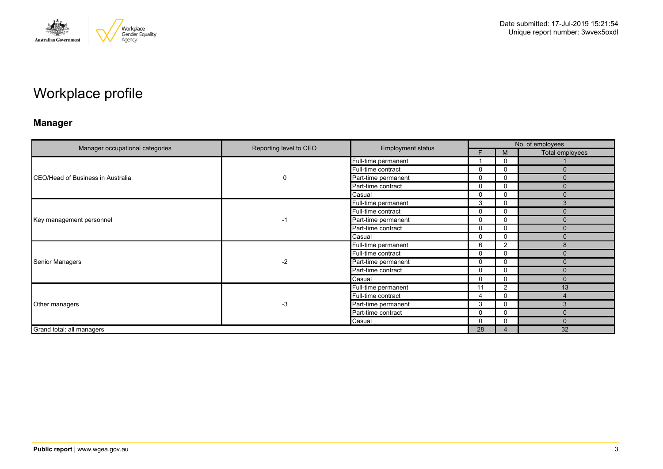

# Workplace profile

### **Manager**

|                                   |                        |                          |                |                | No. of employees |
|-----------------------------------|------------------------|--------------------------|----------------|----------------|------------------|
| Manager occupational categories   | Reporting level to CEO | <b>Employment status</b> |                | M              | Total employees  |
|                                   |                        | Full-time permanent      |                | 0              |                  |
| CEO/Head of Business in Australia |                        | Full-time contract       | $\mathbf{0}$   | 0              | n                |
|                                   | 0                      | Part-time permanent      | $\mathbf{0}$   | 0              | $\Omega$         |
|                                   |                        | Part-time contract       | $\mathbf{0}$   | 0              | $\Omega$         |
|                                   |                        | Casual                   | $\Omega$       | 0              | $\mathbf{0}$     |
|                                   |                        | Full-time permanent      | 3              | 0              | 3                |
| Key management personnel          | $-1$                   | Full-time contract       | $\Omega$       | 0              | $\Omega$         |
|                                   |                        | Part-time permanent      | $\Omega$       | 0              | $\mathbf{0}$     |
|                                   |                        | Part-time contract       | $\mathbf{0}$   | 0              | $\mathbf{0}$     |
|                                   |                        | Casual                   | 0              | 0              | $\Omega$         |
|                                   | $-2$                   | Full-time permanent      | 6              | $\overline{2}$ | 8                |
|                                   |                        | Full-time contract       | $\mathbf{0}$   | $\Omega$       | $\Omega$         |
| <b>Senior Managers</b>            |                        | Part-time permanent      | $\mathbf{0}$   | 0              | $\Omega$         |
|                                   |                        | Part-time contract       | $\mathbf{0}$   | 0              | $\mathbf{0}$     |
|                                   |                        | Casual                   | $\mathbf{0}$   | 0              | $\Omega$         |
|                                   |                        | Full-time permanent      | 11             | 2              | 13               |
|                                   |                        | Full-time contract       | $\overline{4}$ | 0              |                  |
| Other managers                    | $-3$                   | Part-time permanent      | 3              | 0              | 3                |
|                                   |                        | Part-time contract       | $\Omega$       | $\Omega$       | $\Omega$         |
|                                   |                        | Casual                   | $\mathbf{0}$   | 0              | $\Omega$         |
| Grand total: all managers         |                        |                          | 28             | 4              | 32               |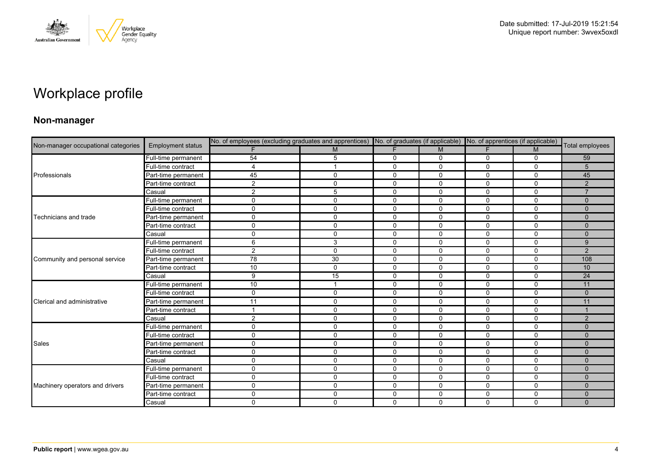

# Workplace profile

### **Non-manager**

| Non-manager occupational categories |                          |                |              | No. of employees (excluding graduates and apprentices) No. of graduates (if applicable) No. of apprentices (if applicable) |              |             |              |                 |
|-------------------------------------|--------------------------|----------------|--------------|----------------------------------------------------------------------------------------------------------------------------|--------------|-------------|--------------|-----------------|
|                                     | <b>Employment status</b> |                | M            | F                                                                                                                          | M            | F.          | M            | Total employees |
|                                     | Full-time permanent      | 54             | 5            | $\mathbf 0$                                                                                                                | $\mathbf 0$  | 0           | $\mathbf 0$  | 59              |
|                                     | Full-time contract       | 4              |              | $\mathbf 0$                                                                                                                | 0            | 0           | $\mathbf 0$  | 5               |
| Professionals                       | Part-time permanent      | 45             | $\mathbf{0}$ | $\Omega$                                                                                                                   | $\Omega$     | $\Omega$    | $\Omega$     | 45              |
|                                     | Part-time contract       | $\overline{2}$ | $\mathbf 0$  | $\mathbf 0$                                                                                                                | 0            | 0           | $\mathbf 0$  | $\overline{2}$  |
|                                     | Casual                   | $\overline{c}$ | 5            | $\mathbf 0$                                                                                                                | $\mathbf 0$  | 0           | $\mathbf 0$  | $\overline{7}$  |
|                                     | Full-time permanent      | $\mathbf 0$    | $\Omega$     | $\mathbf 0$                                                                                                                | $\mathbf 0$  | $\Omega$    | $\mathbf 0$  | $\Omega$        |
|                                     | Full-time contract       | $\mathbf 0$    | $\mathbf 0$  | $\mathbf 0$                                                                                                                | $\mathbf 0$  | 0           | $\mathbf 0$  | $\mathbf{0}$    |
| Technicians and trade               | Part-time permanent      | $\mathsf{O}$   | $\mathbf 0$  | $\mathbf 0$                                                                                                                | $\mathbf 0$  | 0           | $\mathbf 0$  | $\Omega$        |
|                                     | Part-time contract       | $\mathbf 0$    | $\Omega$     | $\mathbf 0$                                                                                                                | $\mathbf 0$  | $\Omega$    | $\mathbf 0$  | $\Omega$        |
|                                     | Casual                   | $\mathbf 0$    | $\mathbf 0$  | $\mathbf 0$                                                                                                                | $\mathbf 0$  | $\mathbf 0$ | $\mathbf 0$  | $\mathbf{0}$    |
|                                     | Full-time permanent      | 6              | 3            | 0                                                                                                                          | 0            | $\Omega$    | $\mathbf{0}$ | 9               |
|                                     | Full-time contract       | $\overline{2}$ | $\Omega$     | $\mathbf 0$                                                                                                                | $\Omega$     | $\Omega$    | $\mathbf 0$  | $\overline{2}$  |
| Community and personal service      | Part-time permanent      | 78             | 30           | $\mathbf 0$                                                                                                                | $\mathbf 0$  | $\mathbf 0$ | $\mathbf 0$  | 108             |
|                                     | Part-time contract       | 10             | $\mathbf 0$  | 0                                                                                                                          | 0            | 0           | 0            | 10              |
|                                     | Casual                   | 9              | 15           | $\mathbf{0}$                                                                                                               | $\Omega$     | $\Omega$    | $\Omega$     | 24              |
|                                     | Full-time permanent      | 10             |              | $\mathbf 0$                                                                                                                | $\Omega$     | $\Omega$    | $\Omega$     | 11              |
|                                     | Full-time contract       | 0              | $\mathbf 0$  | $\mathbf 0$                                                                                                                | 0            | 0           | $\mathbf 0$  | $\Omega$        |
| Clerical and administrative         | Part-time permanent      | 11             | $\Omega$     | $\mathbf 0$                                                                                                                | $\Omega$     | $\Omega$    | $\mathbf 0$  | 11              |
|                                     | Part-time contract       | $\mathbf{1}$   | $\mathbf 0$  | $\mathbf 0$                                                                                                                | $\mathbf 0$  | $\mathbf 0$ | $\mathbf 0$  |                 |
|                                     | Casual                   | $\overline{2}$ | $\mathbf 0$  | 0                                                                                                                          | $\mathbf 0$  | 0           | 0            | 2               |
|                                     | Full-time permanent      | $\mathbf 0$    | $\Omega$     | $\mathbf 0$                                                                                                                | $\Omega$     | $\Omega$    | $\Omega$     | $\Omega$        |
|                                     | Full-time contract       | $\mathbf 0$    | $\mathbf{0}$ | $\mathbf{0}$                                                                                                               | $\mathbf{0}$ | $\Omega$    | $\Omega$     | $\Omega$        |
| Sales                               | Part-time permanent      | 0              | $\mathbf{0}$ | $\mathbf 0$                                                                                                                | 0            | 0           | 0            | $\mathbf{0}$    |
|                                     | Part-time contract       | $\mathbf 0$    | $\Omega$     | $\mathbf 0$                                                                                                                | $\Omega$     | 0           | $\mathbf 0$  | $\Omega$        |
|                                     | Casual                   | 0              | $\mathbf 0$  | $\mathbf 0$                                                                                                                | 0            | 0           | $\mathbf 0$  | $\Omega$        |
|                                     | Full-time permanent      | $\mathbf 0$    | $\mathbf 0$  | $\mathbf 0$                                                                                                                | $\mathbf 0$  | 0           | 0            | $\mathbf{0}$    |
|                                     | Full-time contract       | $\mathbf 0$    | $\Omega$     | $\mathbf 0$                                                                                                                | $\Omega$     | 0           | $\Omega$     | $\Omega$        |
| Machinery operators and drivers     | Part-time permanent      | $\mathsf{O}$   | $\mathbf{0}$ | $\mathbf 0$                                                                                                                | 0            | 0           | $\mathbf 0$  | $\Omega$        |
|                                     | Part-time contract       | 0              | $\mathbf{0}$ | $\mathbf 0$                                                                                                                | $\mathbf 0$  | $\mathbf 0$ | $\mathbf 0$  | $\mathbf{0}$    |
|                                     | Casual                   | $\mathbf 0$    | $\mathbf 0$  | $\Omega$                                                                                                                   | $\Omega$     | $\Omega$    | $\mathbf 0$  | $\Omega$        |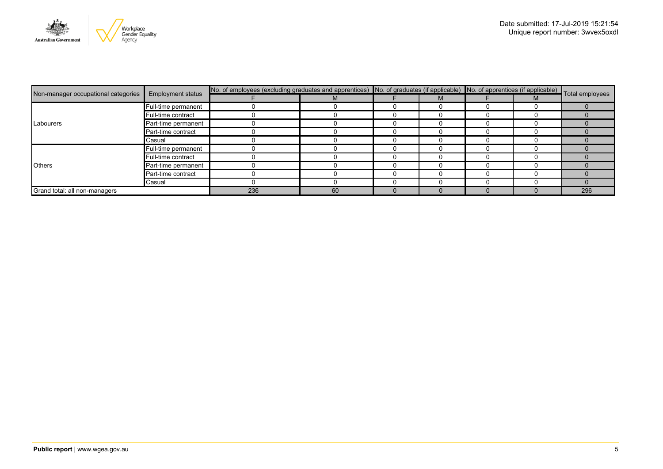

|                                     | <b>Employment status</b> | No. of employees (excluding graduates and apprentices) No. of graduates (if applicable) No. of apprentices (if applicable) Total employees |    |  |  |  |  |     |
|-------------------------------------|--------------------------|--------------------------------------------------------------------------------------------------------------------------------------------|----|--|--|--|--|-----|
| Non-manager occupational categories |                          |                                                                                                                                            |    |  |  |  |  |     |
|                                     | Full-time permanent      |                                                                                                                                            |    |  |  |  |  |     |
|                                     | Full-time contract       |                                                                                                                                            |    |  |  |  |  |     |
| Labourers                           | Part-time permanent      |                                                                                                                                            |    |  |  |  |  |     |
|                                     | Part-time contract       |                                                                                                                                            |    |  |  |  |  |     |
|                                     | Casual                   |                                                                                                                                            |    |  |  |  |  |     |
|                                     | Full-time permanent      |                                                                                                                                            |    |  |  |  |  |     |
|                                     | Full-time contract       |                                                                                                                                            |    |  |  |  |  |     |
| <b>Others</b>                       | Part-time permanent      |                                                                                                                                            |    |  |  |  |  |     |
|                                     | Part-time contract       |                                                                                                                                            |    |  |  |  |  |     |
|                                     | Casual                   |                                                                                                                                            |    |  |  |  |  |     |
| Grand total: all non-managers       |                          | 236                                                                                                                                        | 60 |  |  |  |  | 296 |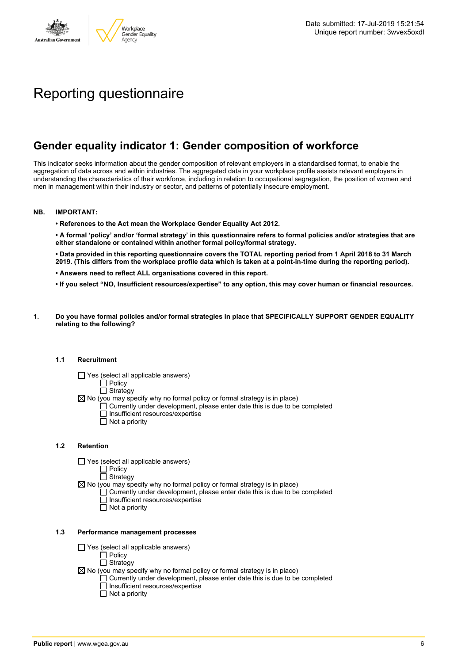

# Reporting questionnaire

### **Gender equality indicator 1: Gender composition of workforce**

This indicator seeks information about the gender composition of relevant employers in a standardised format, to enable the aggregation of data across and within industries. The aggregated data in your workplace profile assists relevant employers in understanding the characteristics of their workforce, including in relation to occupational segregation, the position of women and men in management within their industry or sector, and patterns of potentially insecure employment.

### **NB. IMPORTANT:**

**• References to the Act mean the Workplace Gender Equality Act 2012.**

• A formal 'policy' and/or 'formal strategy' in this questionnaire refers to formal policies and/or strategies that are **either standalone or contained within another formal policy/formal strategy.**

• Data provided in this reporting questionnaire covers the TOTAL reporting period from 1 April 2018 to 31 March 2019. (This differs from the workplace profile data which is taken at a point-in-time during the reporting period).

- **• Answers need to reflect ALL organisations covered in this report.**
- . If you select "NO, Insufficient resources/expertise" to any option, this may cover human or financial resources.
- **1. Do you have formal policies and/or formal strategies in place that SPECIFICALLY SUPPORT GENDER EQUALITY relating to the following?**

### **1.1 Recruitment**

- $\Box$  Yes (select all applicable answers)
	- $\Box$  Policy
	- $\Box$  Strategy
- $\boxtimes$  No (you may specify why no formal policy or formal strategy is in place)
	- $\Box$  Currently under development, please enter date this is due to be completed
		- $\overline{\Box}$  Insufficient resources/expertise
		- $\Box$  Not a priority

### **1.2 Retention**

- $\Box$  Yes (select all applicable answers)
	- $\Box$  Policy
	- $\Box$  Strategy
- $\boxtimes$  No (you may specify why no formal policy or formal strategy is in place)
	- $\Box$  Currently under development, please enter date this is due to be completed
		- Insufficient resources/expertise
		- Not a priority

#### **1.3 Performance management processes**

- $\Box$  Yes (select all applicable answers)
	- $\overline{\Box}$  Policy
	- $\Box$  Strategy
- $\boxtimes$  No (you may specify why no formal policy or formal strategy is in place)
	- $\Box$  Currently under development, please enter date this is due to be completed
	- $\Box$  Insufficient resources/expertise
	- $\Box$  Not a priority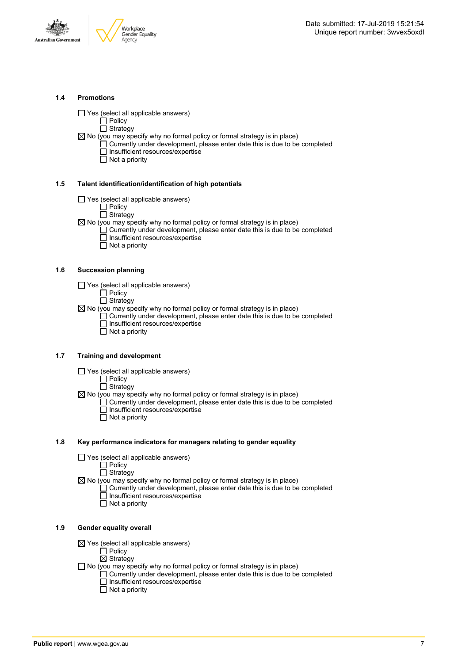



### **1.4 Promotions**

 $\Box$  Yes (select all applicable answers)

 $\Box$  Policy  $\overline{\Box}$  Strategy

- $\boxtimes$  No (you may specify why no formal policy or formal strategy is in place)
	- $\Box$  Currently under development, please enter date this is due to be completed □ Insufficient resources/expertise
		- $\overline{\Box}$  Not a priority

### **1.5 Talent identification/identification of high potentials**

- Yes (select all applicable answers)
	- Policy
	- $\overline{\Box}$  Strategy
- $\boxtimes$  No (you may specify why no formal policy or formal strategy is in place)
	- Currently under development, please enter date this is due to be completed Insufficient resources/expertise
		- $\overline{\Box}$  Not a priority

### **1.6 Succession planning**

- $\Box$  Yes (select all applicable answers)
	- Policy
	- Strategy
- $\boxtimes$  No (you may specify why no formal policy or formal strategy is in place)  $\Box$  Currently under development, please enter date this is due to be completed Insufficient resources/expertise
- Not a priority

### **1.7 Training and development**

- $\Box$  Yes (select all applicable answers)
	- $\square$  Policy
	- $\Box$  Strategy
- $\boxtimes$  No (you may specify why no formal policy or formal strategy is in place)
	- Currently under development, please enter date this is due to be completed Insufficient resources/expertise  $\Box$  Not a priority
		-

### **1.8 Key performance indicators for managers relating to gender equality**

- $\Box$  Yes (select all applicable answers)
	- Policy
	- **Strategy**
- $\boxtimes$  No (you may specify why no formal policy or formal strategy is in place)
	- $\Box$  Currently under development, please enter date this is due to be completed Insufficient resources/expertise
		- Not a priority

### **1.9 Gender equality overall**

- $\boxtimes$  Yes (select all applicable answers)
	- $\Box$  Policy
	- $\boxtimes$  Strategy
- $\Box$  No (you may specify why no formal policy or formal strategy is in place)
	- $\Box$  Currently under development, please enter date this is due to be completed □ Insufficient resources/expertise
		- $\Box$  Not a priority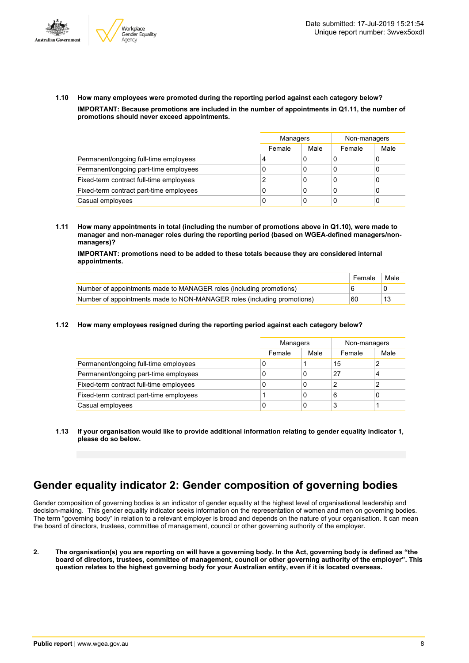



**1.10 How many employees were promoted during the reporting period against each category below? IMPORTANT: Because promotions are included in the number of appointments in Q1.11, the number of promotions should never exceed appointments.**

|                                         | Managers |      | Non-managers |      |
|-----------------------------------------|----------|------|--------------|------|
|                                         | Female   | Male | Female       | Male |
| Permanent/ongoing full-time employees   | 4        | 0    |              |      |
| Permanent/ongoing part-time employees   | C        | 0    | C            | U    |
| Fixed-term contract full-time employees |          | 0    | C            | υ    |
| Fixed-term contract part-time employees | C        | 0    | C            | O    |
| Casual employees                        |          | 0    |              |      |

**1.11 How many appointments in total (including the number of promotions above in Q1.10), were made to manager and non-manager roles during the reporting period (based on WGEA-defined managers/nonmanagers)?**

**IMPORTANT: promotions need to be added to these totals because they are considered internal appointments.**

|                                                                         | Female | Male |
|-------------------------------------------------------------------------|--------|------|
| Number of appointments made to MANAGER roles (including promotions)     |        |      |
| Number of appointments made to NON-MANAGER roles (including promotions) | 60     |      |

### **1.12 How many employees resigned during the reporting period against each category below?**

|                                         | Managers |      | Non-managers |      |  |
|-----------------------------------------|----------|------|--------------|------|--|
|                                         | Female   | Male | Female       | Male |  |
| Permanent/ongoing full-time employees   | 0        |      | 15           | 2    |  |
| Permanent/ongoing part-time employees   | 0        | 0    | 27           | 4    |  |
| Fixed-term contract full-time employees | 0        | 0    | າ            | 2    |  |
| Fixed-term contract part-time employees |          | 0    | 6            | 0    |  |
| Casual employees                        | 0        | 0    | 3            |      |  |

**1.13 If your organisation would like to provide additional information relating to gender equality indicator 1, please do so below.**

### **Gender equality indicator 2: Gender composition of governing bodies**

Gender composition of governing bodies is an indicator of gender equality at the highest level of organisational leadership and decision-making. This gender equality indicator seeks information on the representation of women and men on governing bodies. The term "governing body" in relation to a relevant employer is broad and depends on the nature of your organisation. It can mean the board of directors, trustees, committee of management, council or other governing authority of the employer.

2. The organisation(s) you are reporting on will have a governing body. In the Act, governing body is defined as "the board of directors, trustees, committee of management, council or other governing authority of the employer". This question relates to the highest governing body for your Australian entity, even if it is located overseas.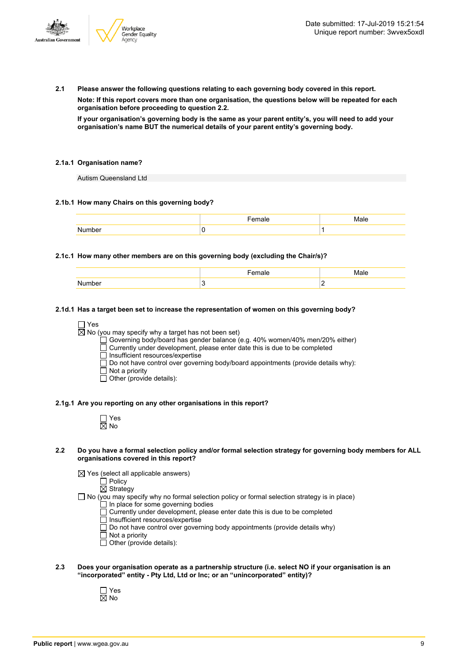

**2.1 Please answer the following questions relating to each governing body covered in this report.**

**Note: If this report covers more than one organisation, the questions below will be repeated for each organisation before proceeding to question 2.2.**

If your organisation's governing body is the same as your parent entity's, you will need to add your **organisation's name BUT the numerical details of your parent entity's governing body.**

### **2.1a.1 Organisation name?**

Autism Queensland Ltd

### **2.1b.1 How many Chairs on this governing body?**

### **2.1c.1 How many other members are on this governing body (excluding the Chair/s)?**

|  | . . |
|--|-----|

### **2.1d.1 Has a target been set to increase the representation of women on this governing body?**

□ Yes

 $\overline{\boxtimes}$  No (you may specify why a target has not been set)

Governing body/board has gender balance (e.g. 40% women/40% men/20% either)

 $\overline{\Box}$  Currently under development, please enter date this is due to be completed

Insufficient resources/expertise

Do not have control over governing body/board appointments (provide details why):

- Not a priority
- $\Box$  Other (provide details):

### **2.1g.1 Are you reporting on any other organisations in this report?**

| n<br>ú |
|--------|

#### 2.2 Do you have a formal selection policy and/or formal selection strategy for governing body members for ALL **organisations covered in this report?**

 $\boxtimes$  Yes (select all applicable answers)

 $\Box$  Policy  $\overline{\boxtimes}$  Strategy

- $\Box$  No (you may specify why no formal selection policy or formal selection strategy is in place)
	- In place for some governing bodies
	- Currently under development, please enter date this is due to be completed
	- $\overline{\Box}$  Insufficient resources/expertise
	- $\Box$  Do not have control over governing body appointments (provide details why)
	- Not a priority
	- Other (provide details):
- **2.3 Does your organisation operate as a partnership structure (i.e. select NO if your organisation is an "incorporated" entity - Pty Ltd, Ltd or Inc; or an "unincorporated" entity)?**
	- Yes No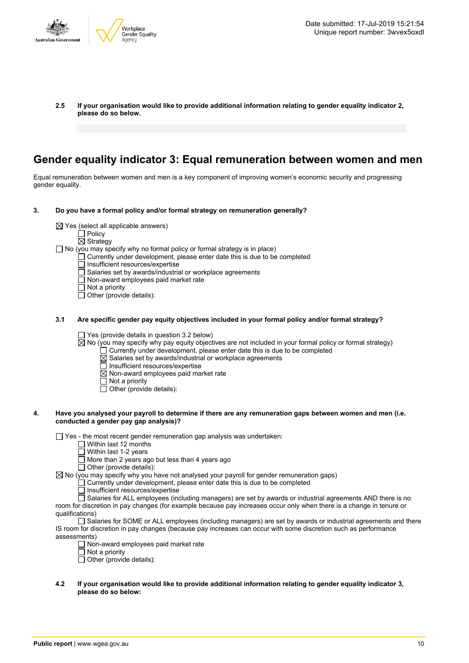

**2.5 If your organisation would like to provide additional information relating to gender equality indicator 2, please do so below.**

### **Gender equality indicator 3: Equal remuneration between women and men**

Equal remuneration between women and men is a key component of improving women's economic security and progressing gender equality.

- **3. Do you have a formal policy and/or formal strategy on remuneration generally?**
	- $\boxtimes$  Yes (select all applicable answers)
		- $\Box$  Policy
		- $\overline{\boxtimes}$  Strategy

 $\Box$  No (you may specify why no formal policy or formal strategy is in place)

- Currently under development, please enter date this is due to be completed
	- Insufficient resources/expertise
- $\overline{\Box}$  Salaries set by awards/industrial or workplace agreements
- Non-award employees paid market rate
- $\Box$  Not a priority

□ Other (provide details):

**3.1 Are specific gender pay equity objectives included in your formal policy and/or formal strategy?**

 $\Box$  Yes (provide details in question 3.2 below)

- $\overline{\boxtimes}$  No (you may specify why pay equity objectives are not included in your formal policy or formal strategy)
	- $\Box$  Currently under development, please enter date this is due to be completed
	- $\boxtimes$  Salaries set by awards/industrial or workplace agreements
	- $\overline{\Box}$  Insufficient resources/expertise
	- $\boxtimes$  Non-award employees paid market rate
	- Not a priority
	- Other (provide details):

### 4. Have you analysed your payroll to determine if there are any remuneration gaps between women and men (i.e. **conducted a gender pay gap analysis)?**

 $\Box$  Yes - the most recent gender remuneration gap analysis was undertaken:

- $\Box$  Within last 12 months
- Within last 1-2 years
- More than 2 years ago but less than 4 years ago
- $\Box$  Other (provide details):

 $\boxtimes$  No (you may specify why you have not analysed your payroll for gender remuneration gaps)

Currently under development, please enter date this is due to be completed

□ Insufficient resources/expertise

Salaries for ALL employees (including managers) are set by awards or industrial agreements AND there is no room for discretion in pay changes (for example because pay increases occur only when there is a change in tenure or qualifications)

Salaries for SOME or ALL employees (including managers) are set by awards or industrial agreements and there IS room for discretion in pay changes (because pay increases can occur with some discretion such as performance assessments)

- $\Box$  Non-award employees paid market rate
- $\overline{\Box}$  Not a priority

 $\Box$  Other (provide details):

**4.2 If your organisation would like to provide additional information relating to gender equality indicator 3, please do so below:**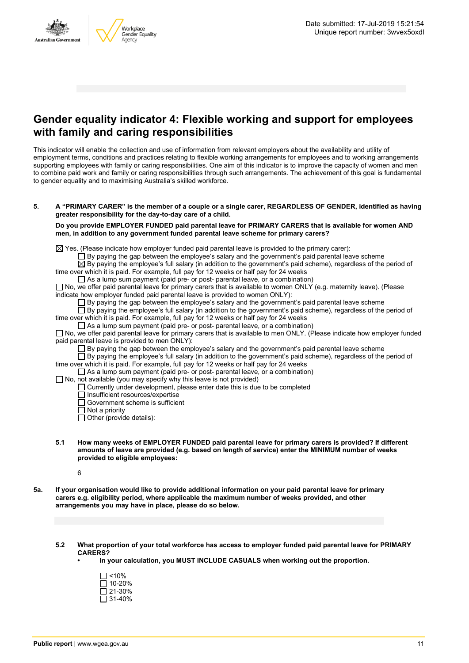

### **Gender equality indicator 4: Flexible working and support for employees with family and caring responsibilities**

This indicator will enable the collection and use of information from relevant employers about the availability and utility of employment terms, conditions and practices relating to flexible working arrangements for employees and to working arrangements supporting employees with family or caring responsibilities. One aim of this indicator is to improve the capacity of women and men to combine paid work and family or caring responsibilities through such arrangements. The achievement of this goal is fundamental to gender equality and to maximising Australia's skilled workforce.

5. A "PRIMARY CARER" is the member of a couple or a single carer, REGARDLESS OF GENDER, identified as having **greater responsibility for the day-to-day care of a child.**

**Do you provide EMPLOYER FUNDED paid parental leave for PRIMARY CARERS that is available for women AND men, in addition to any government funded parental leave scheme for primary carers?**

 $\boxtimes$  Yes. (Please indicate how employer funded paid parental leave is provided to the primary carer):

 $\Box$  By paying the gap between the employee's salary and the government's paid parental leave scheme

 $\overline{\boxtimes}$  By paying the employee's full salary (in addition to the government's paid scheme), regardless of the period of time over which it is paid. For example, full pay for 12 weeks or half pay for 24 weeks

 $\Box$  As a lump sum payment (paid pre- or post- parental leave, or a combination)

 $\Box$  No, we offer paid parental leave for primary carers that is available to women ONLY (e.g. maternity leave). (Please indicate how employer funded paid parental leave is provided to women ONLY):

 $\square$  By paying the gap between the employee's salary and the government's paid parental leave scheme

 $\square$  By paying the employee's full salary (in addition to the government's paid scheme), regardless of the period of time over which it is paid. For example, full pay for 12 weeks or half pay for 24 weeks

As a lump sum payment (paid pre- or post- parental leave, or a combination)

 $\Box$  No, we offer paid parental leave for primary carers that is available to men ONLY. (Please indicate how employer funded paid parental leave is provided to men ONLY):

 $\Box$  By paying the gap between the employee's salary and the government's paid parental leave scheme

 $\Box$  By paying the employee's full salary (in addition to the government's paid scheme), regardless of the period of time over which it is paid. For example, full pay for 12 weeks or half pay for 24 weeks

 $\Box$  As a lump sum payment (paid pre- or post- parental leave, or a combination)

 $\Box$  No, not available (you may specify why this leave is not provided)

 $\Box$  Currently under development, please enter date this is due to be completed

□ Insufficient resources/expertise

□ Government scheme is sufficient

□ Not a priority

 $\Box$  Other (provide details):

**5.1 How many weeks of EMPLOYER FUNDED paid parental leave for primary carers is provided? If different amounts of leave are provided (e.g. based on length of service) enter the MINIMUM number of weeks provided to eligible employees:**

6

- 5a. If your organisation would like to provide additional information on your paid parental leave for primary **carers e.g. eligibility period, where applicable the maximum number of weeks provided, and other arrangements you may have in place, please do so below.**
	- **5.2 What proportion of your total workforce has access to employer funded paid parental leave for PRIMARY CARERS?**
		- **• In your calculation, you MUST INCLUDE CASUALS when working out the proportion.**

| l I <10%  |
|-----------|
| l 10-20%  |
| l 121-30% |
| 131-40%   |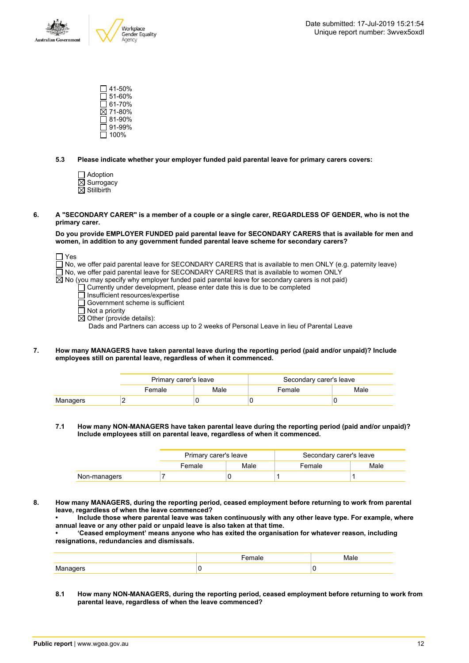

 $\square$  41-50%  $\square$  51-60%  $\overline{\Box}$  61-70% 71-80%  $\Box$  81-90% 91-99%  $\Box$  100%

**5.3 Please indicate whether your employer funded paid parental leave for primary carers covers:**

- Adoption  $\overline{\boxtimes}$  Surrogacy
- $\overline{\boxtimes}$  Stillbirth
- 6. A "SECONDARY CARER" is a member of a couple or a single carer, REGARDLESS OF GENDER, who is not the **primary carer.**

**Do you provide EMPLOYER FUNDED paid parental leave for SECONDARY CARERS that is available for men and women, in addition to any government funded parental leave scheme for secondary carers?**

□ Yes

 $\Box$  No, we offer paid parental leave for SECONDARY CARERS that is available to men ONLY (e.g. paternity leave)

- $\overline{\Box}$  No, we offer paid parental leave for SECONDARY CARERS that is available to women ONLY
- $\overline{\boxtimes}$  No (you may specify why employer funded paid parental leave for secondary carers is not paid)
	- Currently under development, please enter date this is due to be completed
		- Insufficient resources/expertise
	- Government scheme is sufficient
	- $\Box$  Not a priority
	- $\boxtimes$  Other (provide details):

Dads and Partners can access up to 2 weeks of Personal Leave in lieu of Parental Leave

**7. How many MANAGERS have taken parental leave during the reporting period (paid and/or unpaid)? Include employees still on parental leave, regardless of when it commenced.**

|          | Primary carer's leave |      | Secondary carer's leave |      |
|----------|-----------------------|------|-------------------------|------|
|          | Female                | Male | Female                  | Male |
| Managers |                       |      |                         |      |

**7.1 How many NON-MANAGERS have taken parental leave during the reporting period (paid and/or unpaid)? Include employees still on parental leave, regardless of when it commenced.**

|              | Primary carer's leave |      | Secondary carer's leave |      |
|--------------|-----------------------|------|-------------------------|------|
|              | Female                | Male | Female                  | Male |
| Non-managers |                       |      |                         |      |

**8. How many MANAGERS, during the reporting period, ceased employment before returning to work from parental leave, regardless of when the leave commenced?**

**• Include those where parental leave was taken continuously with any other leave type. For example, where annual leave or any other paid or unpaid leave is also taken at that time.**

**• 'Ceased employment' means anyone who has exited the organisation for whatever reason, including resignations, redundancies and dismissals.**

|                                     | .<br>пае | Male |
|-------------------------------------|----------|------|
| <b>B</b> A<br>Manader<br>. <u>.</u> |          |      |

**8.1 How many NON-MANAGERS, during the reporting period, ceased employment before returning to work from parental leave, regardless of when the leave commenced?**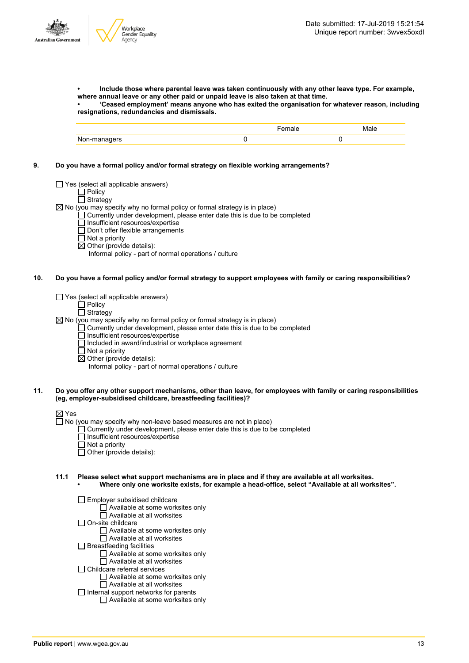**• Include those where parental leave was taken continuously with any other leave type. For example, where annual leave or any other paid or unpaid leave is also taken at that time.**

**• 'Ceased employment' means anyone who has exited the organisation for whatever reason, including resignations, redundancies and dismissals.**

|              | aie. | Male |
|--------------|------|------|
| Non-managers |      |      |

**9. Do you have a formal policy and/or formal strategy on flexible working arrangements?**

 $\Box$  Yes (select all applicable answers)

□ Policy  $\Box$  Strategy

 $\boxtimes$  No (you may specify why no formal policy or formal strategy is in place)

 $\Box$  Currently under development, please enter date this is due to be completed

- $\Box$  Insufficient resources/expertise
- Don't offer flexible arrangements
- Not a priority
- $\overline{\boxtimes}$  Other (provide details):

Informal policy - part of normal operations / culture

10. Do you have a formal policy and/or formal strategy to support employees with family or caring responsibilities?

 $\Box$  Yes (select all applicable answers)

 $\Box$  Policy

### Strategy

 $\boxtimes$  No (you may specify why no formal policy or formal strategy is in place)

- Currently under development, please enter date this is due to be completed
	- Insufficient resources/expertise
	- $\Box$  Included in award/industrial or workplace agreement
	- $\Box$  Not a priority
	- $\overline{\boxtimes}$  Other (provide details):

Informal policy - part of normal operations / culture

### 11. Do you offer any other support mechanisms, other than leave, for employees with family or caring responsibilities **(eg, employer-subsidised childcare, breastfeeding facilities)?**

### ⊠ Yes

 $\Box$  No (you may specify why non-leave based measures are not in place)

- Currently under development, please enter date this is due to be completed
- Insufficient resources/expertise
- $\overline{\Box}$  Not a priority
- $\Box$  Other (provide details):

**11.1 Please select what support mechanisms are in place and if they are available at all worksites. • Where only one worksite exists, for example a head-office, select "Available at all worksites".**

- Employer subsidised childcare
	- $\Box$  Available at some worksites only
	- $\overline{\Box}$  Available at all worksites
- $\Box$  On-site childcare
	- Available at some worksites only
	- Available at all worksites
- $\Box$  Breastfeeding facilities
	- Available at some worksites only
	- Available at all worksites
- $\Box$  Childcare referral services
	- □ Available at some worksites only
- □ Available at all worksites  $\Box$  Internal support networks for parents
	- Available at some worksites only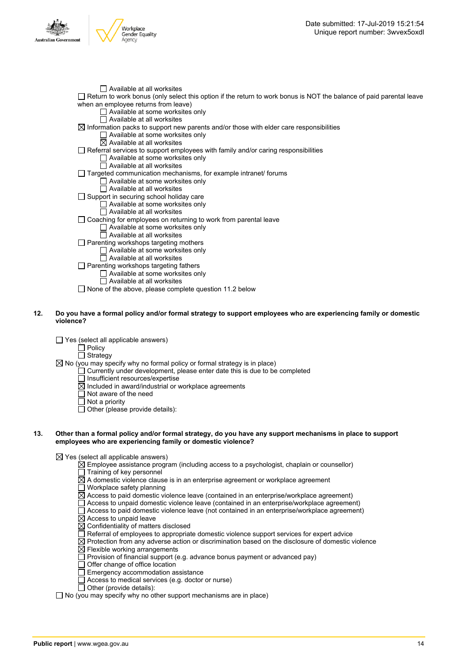



 $\Box$  None of the above, please complete question 11.2 below

### 12. Do you have a formal policy and/or formal strategy to support employees who are experiencing family or domestic **violence?**

 $\Box$  Yes (select all applicable answers)

 $\overline{\Box}$  Policy □ Strategy

 $\boxtimes$  No (you may specify why no formal policy or formal strategy is in place)

Currently under development, please enter date this is due to be completed

 $\overline{\Box}$  Insufficient resources/expertise

- $\boxtimes$  Included in award/industrial or workplace agreements
- $\Box$  Not aware of the need
- $\overline{\Box}$  Not a priority
- $\overline{\Box}$  Other (please provide details):

#### 13. Other than a formal policy and/or formal strategy, do you have any support mechanisms in place to support **employees who are experiencing family or domestic violence?**

 $\boxtimes$  Yes (select all applicable answers)

- $\boxtimes$  Employee assistance program (including access to a psychologist, chaplain or counsellor)
- $\Box$  Training of key personnel
- $\overline{\boxtimes}$  A domestic violence clause is in an enterprise agreement or workplace agreement
- $\Box$  Workplace safety planning
- $\overline{\boxtimes}$  Access to paid domestic violence leave (contained in an enterprise/workplace agreement)
- Access to unpaid domestic violence leave (contained in an enterprise/workplace agreement)
- $\Box$  Access to paid domestic violence leave (not contained in an enterprise/workplace agreement)
- $\boxtimes$  Access to unpaid leave
- $\boxtimes$  Confidentiality of matters disclosed
- $\Box$  Referral of employees to appropriate domestic violence support services for expert advice
- $\boxtimes$  Protection from any adverse action or discrimination based on the disclosure of domestic violence
- $\boxtimes$  Flexible working arrangements
- $\Box$  Provision of financial support (e.g. advance bonus payment or advanced pay)
- Offer change of office location
- $\Box$  Emergency accommodation assistance
- $\Box$  Access to medical services (e.g. doctor or nurse)
- $\Box$  Other (provide details):

 $\Box$  No (you may specify why no other support mechanisms are in place)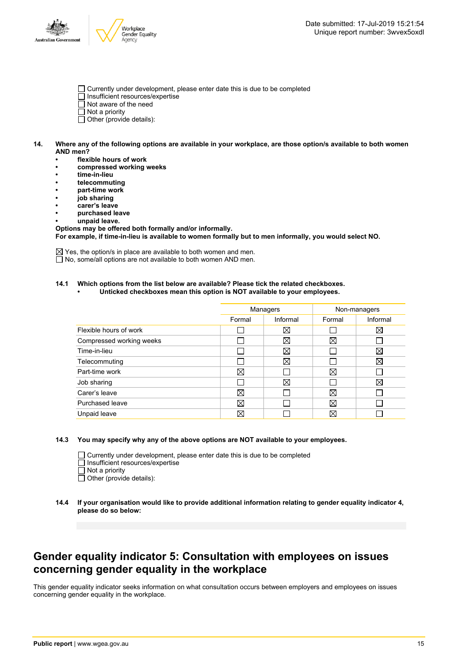

- Currently under development, please enter date this is due to be completed
- Insufficient resources/expertise
- $\overline{\Box}$  Not aware of the need
- $\Box$  Not a priority
- $\Box$  Other (provide details):
- 14. Where any of the following options are available in your workplace, are those option/s available to both women **AND men?**
	- **• flexible hours of work**
	- **• compressed working weeks**
	- **• time-in-lieu**
	- **• telecommuting**
	- **• part-time work**
	- **• job sharing**
	- **• carer's leave**
	- **• purchased leave**
	- **• unpaid leave.**

**Options may be offered both formally and/or informally. For example, if time-in-lieu is available to women formally but to men informally, you would select NO.**

 $\boxtimes$  Yes, the option/s in place are available to both women and men. □ No, some/all options are not available to both women AND men.

### **14.1 Which options from the list below are available? Please tick the related checkboxes.**

**• Unticked checkboxes mean this option is NOT available to your employees.**

|                          | Managers |             | Non-managers |             |
|--------------------------|----------|-------------|--------------|-------------|
|                          | Formal   | Informal    | Formal       | Informal    |
| Flexible hours of work   |          | $\boxtimes$ |              | $\boxtimes$ |
| Compressed working weeks |          | X           | $\boxtimes$  |             |
| Time-in-lieu             |          | X           |              | $\boxtimes$ |
| Telecommuting            |          | $\boxtimes$ |              | $\boxtimes$ |
| Part-time work           | ⊠        |             | X            |             |
| Job sharing              |          | X           |              | ⊠           |
| Carer's leave            | ⊠        |             | $\boxtimes$  |             |
| Purchased leave          | ⊠        |             | $\boxtimes$  |             |
| Unpaid leave             | ⊠        |             | $\boxtimes$  |             |

#### **14.3 You may specify why any of the above options are NOT available to your employees.**

 $\Box$  Currently under development, please enter date this is due to be completed

- Insufficient resources/expertise
- $\Box$  Not a priority

 $\overline{\Box}$  Other (provide details):

### **Gender equality indicator 5: Consultation with employees on issues concerning gender equality in the workplace**

This gender equality indicator seeks information on what consultation occurs between employers and employees on issues concerning gender equality in the workplace.

**<sup>14.4</sup> If your organisation would like to provide additional information relating to gender equality indicator 4, please do so below:**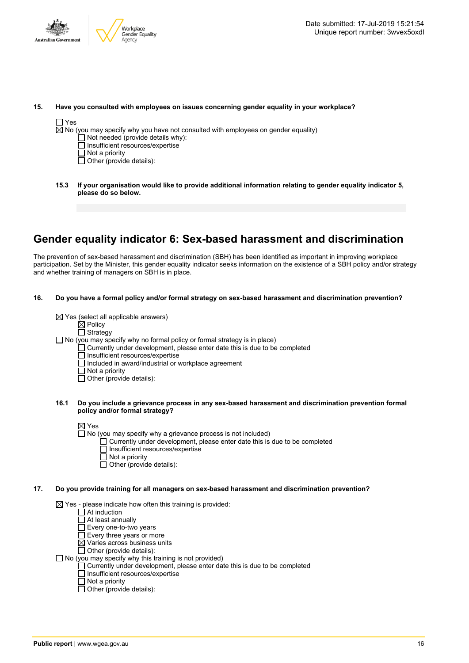

#### **15. Have you consulted with employees on issues concerning gender equality in your workplace?**

### $\Box$  Yes

 $\boxtimes$  No (you may specify why you have not consulted with employees on gender equality)

- Not needed (provide details why):
- Insufficient resources/expertise
- $\overline{\Box}$  Not a priority
- $\Box$  Other (provide details):
- **15.3 If your organisation would like to provide additional information relating to gender equality indicator 5, please do so below.**

### **Gender equality indicator 6: Sex-based harassment and discrimination**

The prevention of sex-based harassment and discrimination (SBH) has been identified as important in improving workplace participation. Set by the Minister, this gender equality indicator seeks information on the existence of a SBH policy and/or strategy and whether training of managers on SBH is in place.

**16. Do you have a formal policy and/or formal strategy on sex-based harassment and discrimination prevention?**

 $\boxtimes$  Yes (select all applicable answers)

 $\boxtimes$  Policy

□ Strategy

 $\Box$  No (you may specify why no formal policy or formal strategy is in place)

- $\Box$  Currently under development, please enter date this is due to be completed
- □ Insufficient resources/expertise
- Included in award/industrial or workplace agreement
- Not a priority
- $\Box$  Other (provide details):

### **16.1 Do you include a grievance process in any sex-based harassment and discrimination prevention formal policy and/or formal strategy?**

⊠ Yes

- No (you may specify why a grievance process is not included)
	- $\Box$  Currently under development, please enter date this is due to be completed
	- $\overline{\Box}$  Insufficient resources/expertise
	- $\Box$  Not a priority
	- $\Box$  Other (provide details):

### **17. Do you provide training for all managers on sex-based harassment and discrimination prevention?**

 $\boxtimes$  Yes - please indicate how often this training is provided:

- $\Box$  At induction
- $\overline{\Box}$  At least annually
- Every one-to-two years
- $\Box$  Every three years or more
- $\boxtimes$  Varies across business units
- $\Box$  Other (provide details):
- $\Box$  No (you may specify why this training is not provided)
	- Currently under development, please enter date this is due to be completed
	- Insufficient resources/expertise
	- $\overline{\Box}$  Not a priority
	- $\Box$  Other (provide details):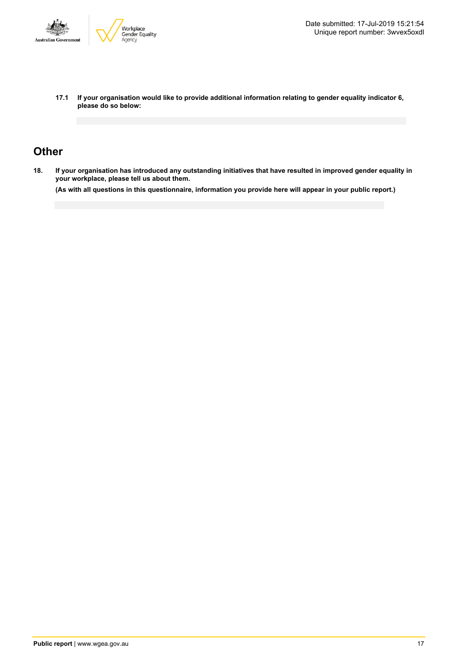

**17.1 If your organisation would like to provide additional information relating to gender equality indicator 6, please do so below:**

### **Other**

18. If your organisation has introduced any outstanding initiatives that have resulted in improved gender equality in **your workplace, please tell us about them.**

(As with all questions in this questionnaire, information you provide here will appear in your public report.)